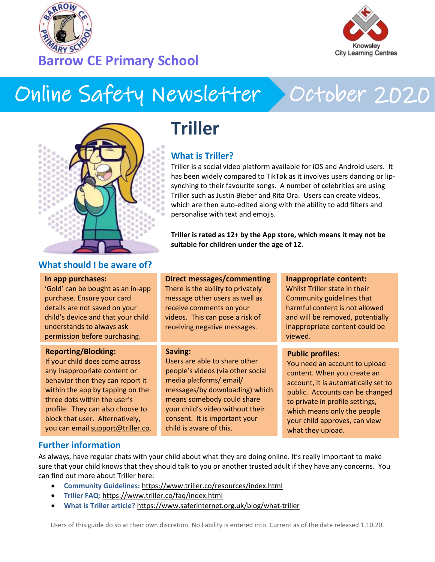



# Online Safety Newsletter > October 2020



### **What should I be aware of?**

#### **In app purchases:**

'Gold' can be bought as an in-app purchase. Ensure your card details are not saved on your child's device and that your child understands to always ask permission before purchasing.

#### **Reporting/Blocking:**

If your child does come across any inappropriate content or behavior then they can report it within the app by tapping on the three dots within the user's profile. They can also choose to block that user. Alternatively, you can email [support@triller.co.](mailto:support@triller.co)

# **Triller**

### **What is Triller?**

Triller is a social video platform available for iOS and Android users. It has been widely compared to TikTok as it involves users dancing or lipsynching to their favourite songs. A number of celebrities are using Triller such as Justin Bieber and Rita Ora. Users can create videos, which are then auto-edited along with the ability to add filters and personalise with text and emojis.

**Triller is rated as 12+ by the App store, which means it may not be suitable for children under the age of 12.**

### **Direct messages/commenting**

There is the ability to privately message other users as well as receive comments on your videos. This can pose a risk of receiving negative messages.

### **Saving:**

Users are able to share other people's videos (via other social media platforms/ email/ messages/by downloading) which means somebody could share your child's video without their consent. It is important your child is aware of this.

### **Inappropriate content:**

Whilst Triller state in their Community guidelines that harmful content is not allowed and will be removed, potentially inappropriate content could be viewed.

### **Public profiles:**

You need an account to upload content. When you create an account, it is automatically set to public. Accounts can be changed to private in profile settings, which means only the people your child approves, can view what they upload.

### **Further information**

As always, have regular chats with your child about what they are doing online. It's really important to make sure that your child knows that they should talk to you or another trusted adult if they have any concerns. You can find out more about Triller here:

- **Community Guidelines:** <https://www.triller.co/resources/index.html>
- **Triller FAQ:** <https://www.triller.co/faq/index.html>
- **What is Triller article?** <https://www.saferinternet.org.uk/blog/what-triller>

Users of this guide do so at their own discretion. No liability is entered into. Current as of the date released 1.10.20.